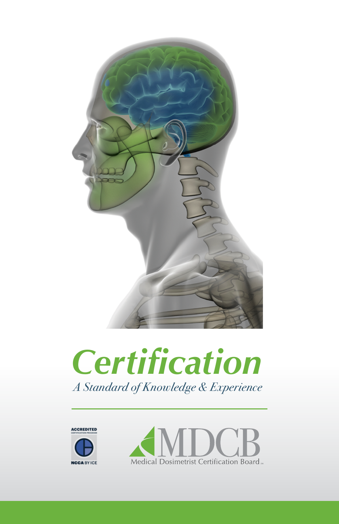

# *Certification A Standard of Knowledge & Experience*



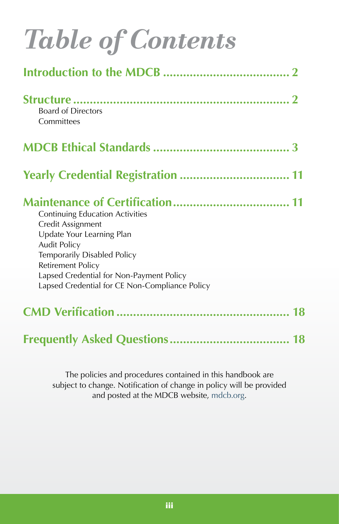| <b>Table of Contents</b>                                                                                                                                                                                                                                          |
|-------------------------------------------------------------------------------------------------------------------------------------------------------------------------------------------------------------------------------------------------------------------|
|                                                                                                                                                                                                                                                                   |
| <b>Board of Directors</b><br>Committees                                                                                                                                                                                                                           |
|                                                                                                                                                                                                                                                                   |
|                                                                                                                                                                                                                                                                   |
| <b>Continuing Education Activities</b><br>Credit Assignment<br>Update Your Learning Plan<br><b>Audit Policy</b><br>Temporarily Disabled Policy<br>Retirement Policy<br>Lapsed Credential for Non-Payment Policy<br>Lapsed Credential for CE Non-Compliance Policy |
|                                                                                                                                                                                                                                                                   |
|                                                                                                                                                                                                                                                                   |

The policies and procedures contained in this handbook are subject to change. Notification of change in policy will be provided and posted at the MDCB website, [mdcb.org.](https://mdcb.org)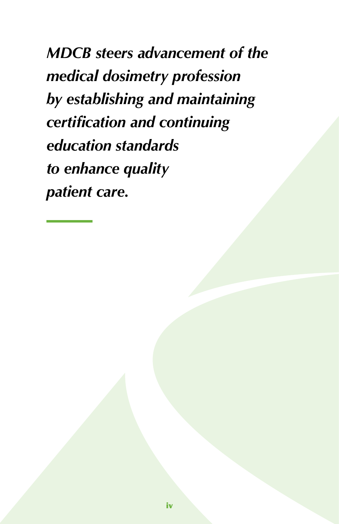*MDCB steers advancement of the medical dosimetry profession by establishing and maintaining certification and continuing education standards to enhance quality patient care.*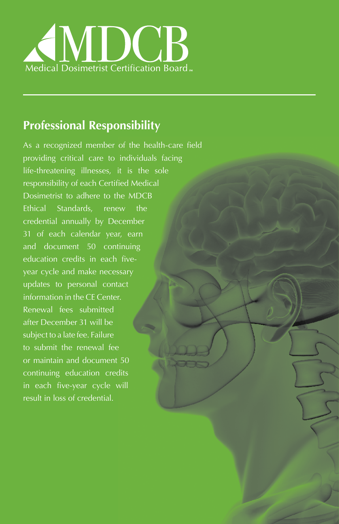

# **Professional Responsibility**

As a recognized member of the health-care field providing critical care to individuals facing life-threatening illnesses, it is the sole responsibility of each Certified Medical Dosimetrist to adhere to the MDCB Ethical Standards, renew the credential annually by December 31 of each calendar year, earn and document 50 continuing education credits in each fiveyear cycle and make necessary updates to personal contact information in the CE Center. Renewal fees submitted after December 31 will be subject to a late fee. Failure to submit the renewal fee or maintain and document 50 continuing education credits in each five-year cycle will result in loss of credential.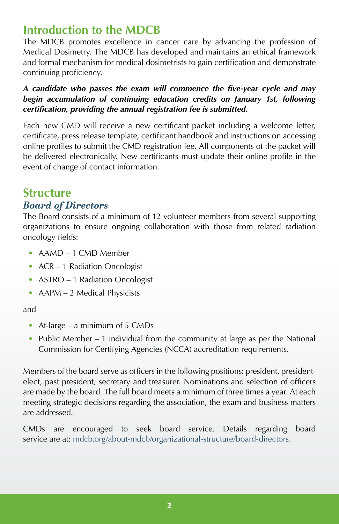# <span id="page-5-0"></span>**Introduction to the MDCB**

The MDCB promotes excellence in cancer care by advancing the profession of Medical Dosimetry. The MDCB has developed and maintains an ethical framework and formal mechanism for medical dosimetrists to gain certification and demonstrate continuing proficiency.

#### *A candidate who passes the exam will commence the five-year cycle and may*  begin accumulation of continuing education credits on January 1st, following *certification, providing the annual registration fee is submitted.*

Each new CMD will receive a new certificant packet including a welcome letter, certificate, press release template, certificant handbook and instructions on accessing online profiles to submit the CMD registration fee. All components of the packet will be delivered electronically. New certificants must update their online profile in the event of change of contact information.

# <span id="page-5-1"></span>**Structure** *Board of Directors*

The Board consists of a minimum of 12 volunteer members from several supporting organizations to ensure ongoing collaboration with those from related radiation oncology fields:

- AAMD 1 CMD Member
- ACR 1 Radiation Oncologist
- ASTRO 1 Radiation Oncologist
- AAPM 2 Medical Physicists
- and
	- At-large a minimum of 5 CMDs
	- Public Member 1 individual from the community at large as per the National Commission for Certifying Agencies (NCCA) accreditation requirements.

Members of the board serve as officers in the following positions: president, presidentelect, past president, secretary and treasurer. Nominations and selection of officers are made by the board. The full board meets a minimum of three times a year. At each meeting strategic decisions regarding the association, the exam and business matters are addressed.

CMDs are encouraged to seek board service. Details regarding board service are at: [mdcb.org/about-mdcb/organizational-structure/board-directors](http://mdcb.org/about-mdcb/organizational-structure/board-directors).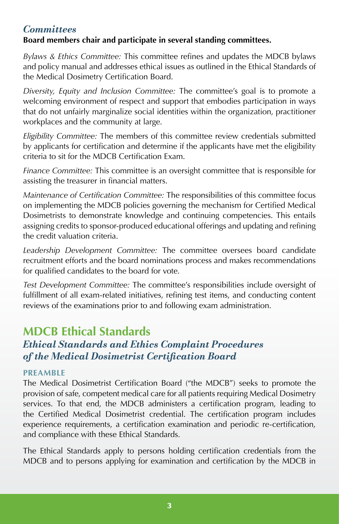# <span id="page-6-0"></span>*Committees*

# **Board members chair and participate in several standing committees.**

*Bylaws & Ethics Committee:* This committee refines and updates the MDCB bylaws and policy manual and addresses ethical issues as outlined in the Ethical Standards of the Medical Dosimetry Certification Board.

*Diversity, Equity and Inclusion Committee:* The committee's goal is to promote a welcoming environment of respect and support that embodies participation in ways that do not unfairly marginalize social identities within the organization, practitioner workplaces and the community at large.

*Eligibility Committee:* The members of this committee review credentials submitted by applicants for certification and determine if the applicants have met the eligibility criteria to sit for the MDCB Certification Exam.

*Finance Committee:* This committee is an oversight committee that is responsible for assisting the treasurer in financial matters.

*Maintenance of Certification Committee:* The responsibilities of this committee focus on implementing the MDCB policies governing the mechanism for Certified Medical Dosimetrists to demonstrate knowledge and continuing competencies. This entails assigning credits to sponsor-produced educational offerings and updating and refining the credit valuation criteria.

*Leadership Development Committee:* The committee oversees board candidate recruitment efforts and the board nominations process and makes recommendations for qualified candidates to the board for vote.

*Test Development Committee:* The committee's responsibilities include oversight of fulfillment of all exam-related initiatives, refining test items, and conducting content reviews of the examinations prior to and following exam administration.

# <span id="page-6-1"></span>**MDCB Ethical Standards** *Ethical Standards and Ethics Complaint Procedures of the Medical Dosimetrist Certification Board*

## **PREAMBLE**

The Medical Dosimetrist Certification Board ("the MDCB") seeks to promote the provision of safe, competent medical care for all patients requiring Medical Dosimetry services. To that end, the MDCB administers a certification program, leading to the Certified Medical Dosimetrist credential. The certification program includes experience requirements, a certification examination and periodic re-certification, and compliance with these Ethical Standards.

The Ethical Standards apply to persons holding certification credentials from the MDCB and to persons applying for examination and certification by the MDCB in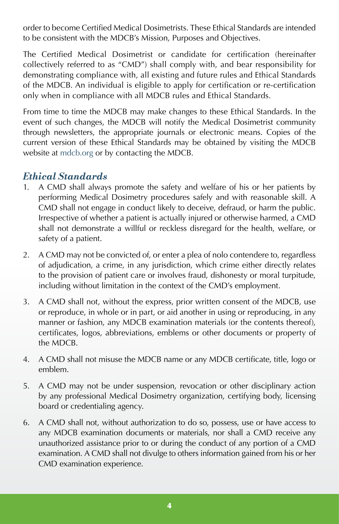order to become Certified Medical Dosimetrists. These Ethical Standards are intended to be consistent with the MDCB's Mission, Purposes and Objectives.

The Certified Medical Dosimetrist or candidate for certification (hereinafter collectively referred to as "CMD") shall comply with, and bear responsibility for demonstrating compliance with, all existing and future rules and Ethical Standards of the MDCB. An individual is eligible to apply for certification or re-certification only when in compliance with all MDCB rules and Ethical Standards.

From time to time the MDCB may make changes to these Ethical Standards. In the event of such changes, the MDCB will notify the Medical Dosimetrist community through newsletters, the appropriate journals or electronic means. Copies of the current version of these Ethical Standards may be obtained by visiting the MDCB website at [mdcb.org](https://mdcb.org) or by contacting the MDCB.

# *Ethical Standards*

- 1. A CMD shall always promote the safety and welfare of his or her patients by performing Medical Dosimetry procedures safely and with reasonable skill. A CMD shall not engage in conduct likely to deceive, defraud, or harm the public. Irrespective of whether a patient is actually injured or otherwise harmed, a CMD shall not demonstrate a willful or reckless disregard for the health, welfare, or safety of a patient.
- 2. A CMD may not be convicted of, or enter a plea of nolo contendere to, regardless of adjudication, a crime, in any jurisdiction, which crime either directly relates to the provision of patient care or involves fraud, dishonesty or moral turpitude, including without limitation in the context of the CMD's employment.
- 3. A CMD shall not, without the express, prior written consent of the MDCB, use or reproduce, in whole or in part, or aid another in using or reproducing, in any manner or fashion, any MDCB examination materials (or the contents thereof), certificates, logos, abbreviations, emblems or other documents or property of the MDCB.
- 4. A CMD shall not misuse the MDCB name or any MDCB certificate, title, logo or emblem.
- 5. A CMD may not be under suspension, revocation or other disciplinary action by any professional Medical Dosimetry organization, certifying body, licensing board or credentialing agency.
- 6. A CMD shall not, without authorization to do so, possess, use or have access to any MDCB examination documents or materials, nor shall a CMD receive any unauthorized assistance prior to or during the conduct of any portion of a CMD examination. A CMD shall not divulge to others information gained from his or her CMD examination experience.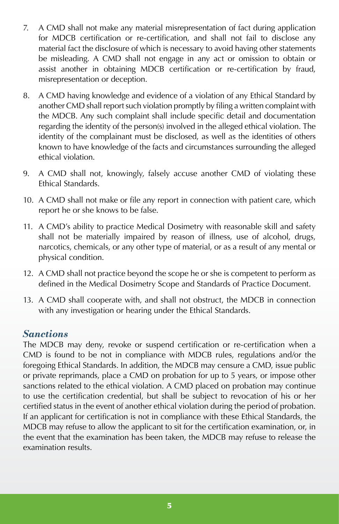- 7. A CMD shall not make any material misrepresentation of fact during application for MDCB certification or re-certification, and shall not fail to disclose any material fact the disclosure of which is necessary to avoid having other statements be misleading. A CMD shall not engage in any act or omission to obtain or assist another in obtaining MDCB certification or re-certification by fraud, misrepresentation or deception.
- 8. A CMD having knowledge and evidence of a violation of any Ethical Standard by another CMD shall report such violation promptly by filing a written complaint with the MDCB. Any such complaint shall include specific detail and documentation regarding the identity of the person(s) involved in the alleged ethical violation. The identity of the complainant must be disclosed, as well as the identities of others known to have knowledge of the facts and circumstances surrounding the alleged ethical violation.
- 9. A CMD shall not, knowingly, falsely accuse another CMD of violating these Ethical Standards.
- 10. A CMD shall not make or file any report in connection with patient care, which report he or she knows to be false.
- 11. A CMD's ability to practice Medical Dosimetry with reasonable skill and safety shall not be materially impaired by reason of illness, use of alcohol, drugs, narcotics, chemicals, or any other type of material, or as a result of any mental or physical condition.
- 12. A CMD shall not practice beyond the scope he or she is competent to perform as defined in the Medical Dosimetry Scope and Standards of Practice Document.
- 13. A CMD shall cooperate with, and shall not obstruct, the MDCB in connection with any investigation or hearing under the Ethical Standards.

# *Sanctions*

The MDCB may deny, revoke or suspend certification or re-certification when a CMD is found to be not in compliance with MDCB rules, regulations and/or the foregoing Ethical Standards. In addition, the MDCB may censure a CMD, issue public or private reprimands, place a CMD on probation for up to 5 years, or impose other sanctions related to the ethical violation. A CMD placed on probation may continue to use the certification credential, but shall be subject to revocation of his or her certified status in the event of another ethical violation during the period of probation. If an applicant for certification is not in compliance with these Ethical Standards, the MDCB may refuse to allow the applicant to sit for the certification examination, or, in the event that the examination has been taken, the MDCB may refuse to release the examination results.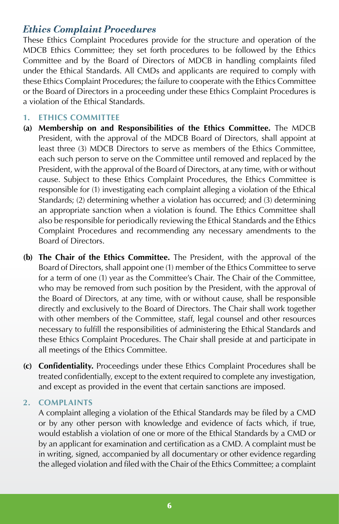# *Ethics Complaint Procedures*

These Ethics Complaint Procedures provide for the structure and operation of the MDCB Ethics Committee; they set forth procedures to be followed by the Ethics Committee and by the Board of Directors of MDCB in handling complaints filed under the Ethical Standards. All CMDs and applicants are required to comply with these Ethics Complaint Procedures; the failure to cooperate with the Ethics Committee or the Board of Directors in a proceeding under these Ethics Complaint Procedures is a violation of the Ethical Standards.

#### **1. ETHICS COMMITTEE**

- **(a) Membership on and Responsibilities of the Ethics Committee.** The MDCB President, with the approval of the MDCB Board of Directors, shall appoint at least three (3) MDCB Directors to serve as members of the Ethics Committee, each such person to serve on the Committee until removed and replaced by the President, with the approval of the Board of Directors, at any time, with or without cause. Subject to these Ethics Complaint Procedures, the Ethics Committee is responsible for (1) investigating each complaint alleging a violation of the Ethical Standards; (2) determining whether a violation has occurred; and (3) determining an appropriate sanction when a violation is found. The Ethics Committee shall also be responsible for periodically reviewing the Ethical Standards and the Ethics Complaint Procedures and recommending any necessary amendments to the Board of Directors.
- **(b) The Chair of the Ethics Committee.** The President, with the approval of the Board of Directors, shall appoint one (1) member of the Ethics Committee to serve for a term of one (1) year as the Committee's Chair. The Chair of the Committee, who may be removed from such position by the President, with the approval of the Board of Directors, at any time, with or without cause, shall be responsible directly and exclusively to the Board of Directors. The Chair shall work together with other members of the Committee, staff, legal counsel and other resources necessary to fulfill the responsibilities of administering the Ethical Standards and these Ethics Complaint Procedures. The Chair shall preside at and participate in all meetings of the Ethics Committee.
- **(c) Confidentiality.** Proceedings under these Ethics Complaint Procedures shall be treated confidentially, except to the extent required to complete any investigation, and except as provided in the event that certain sanctions are imposed.

#### **2. COMPLAINTS**

A complaint alleging a violation of the Ethical Standards may be filed by a CMD or by any other person with knowledge and evidence of facts which, if true, would establish a violation of one or more of the Ethical Standards by a CMD or by an applicant for examination and certification as a CMD. A complaint must be in writing, signed, accompanied by all documentary or other evidence regarding the alleged violation and filed with the Chair of the Ethics Committee; a complaint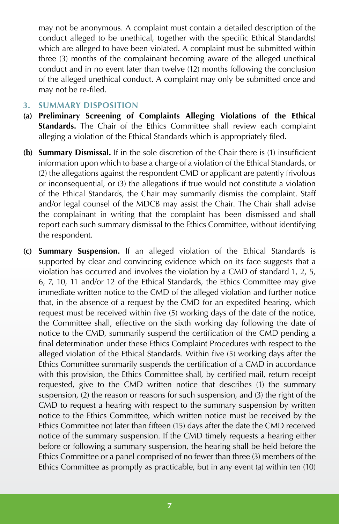may not be anonymous. A complaint must contain a detailed description of the conduct alleged to be unethical, together with the specific Ethical Standard(s) which are alleged to have been violated. A complaint must be submitted within three (3) months of the complainant becoming aware of the alleged unethical conduct and in no event later than twelve (12) months following the conclusion of the alleged unethical conduct. A complaint may only be submitted once and may not be re-filed.

#### **3. SUMMARY DISPOSITION**

- **(a) Preliminary Screening of Complaints Alleging Violations of the Ethical Standards.** The Chair of the Ethics Committee shall review each complaint alleging a violation of the Ethical Standards which is appropriately filed.
- **(b) Summary Dismissal.** If in the sole discretion of the Chair there is (1) insufficient information upon which to base a charge of a violation of the Ethical Standards, or (2) the allegations against the respondent CMD or applicant are patently frivolous or inconsequential, or (3) the allegations if true would not constitute a violation of the Ethical Standards, the Chair may summarily dismiss the complaint. Staff and/or legal counsel of the MDCB may assist the Chair. The Chair shall advise the complainant in writing that the complaint has been dismissed and shall report each such summary dismissal to the Ethics Committee, without identifying the respondent.
- **(c) Summary Suspension.** If an alleged violation of the Ethical Standards is supported by clear and convincing evidence which on its face suggests that a violation has occurred and involves the violation by a CMD of standard 1, 2, 5, 6, 7, 10, 11 and/or 12 of the Ethical Standards, the Ethics Committee may give immediate written notice to the CMD of the alleged violation and further notice that, in the absence of a request by the CMD for an expedited hearing, which request must be received within five (5) working days of the date of the notice, the Committee shall, effective on the sixth working day following the date of notice to the CMD, summarily suspend the certification of the CMD pending a final determination under these Ethics Complaint Procedures with respect to the alleged violation of the Ethical Standards. Within five (5) working days after the Ethics Committee summarily suspends the certification of a CMD in accordance with this provision, the Ethics Committee shall, by certified mail, return receipt requested, give to the CMD written notice that describes (1) the summary suspension, (2) the reason or reasons for such suspension, and (3) the right of the CMD to request a hearing with respect to the summary suspension by written notice to the Ethics Committee, which written notice must be received by the Ethics Committee not later than fifteen (15) days after the date the CMD received notice of the summary suspension. If the CMD timely requests a hearing either before or following a summary suspension, the hearing shall be held before the Ethics Committee or a panel comprised of no fewer than three (3) members of the Ethics Committee as promptly as practicable, but in any event (a) within ten (10)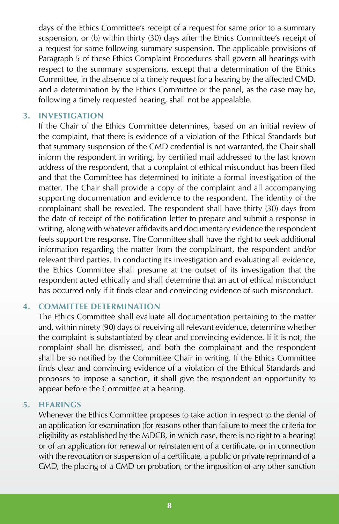days of the Ethics Committee's receipt of a request for same prior to a summary suspension, or (b) within thirty (30) days after the Ethics Committee's receipt of a request for same following summary suspension. The applicable provisions of Paragraph 5 of these Ethics Complaint Procedures shall govern all hearings with respect to the summary suspensions, except that a determination of the Ethics Committee, in the absence of a timely request for a hearing by the affected CMD, and a determination by the Ethics Committee or the panel, as the case may be, following a timely requested hearing, shall not be appealable.

#### **3. INVESTIGATION**

If the Chair of the Ethics Committee determines, based on an initial review of the complaint, that there is evidence of a violation of the Ethical Standards but that summary suspension of the CMD credential is not warranted, the Chair shall inform the respondent in writing, by certified mail addressed to the last known address of the respondent, that a complaint of ethical misconduct has been filed and that the Committee has determined to initiate a formal investigation of the matter. The Chair shall provide a copy of the complaint and all accompanying supporting documentation and evidence to the respondent. The identity of the complainant shall be revealed. The respondent shall have thirty (30) days from the date of receipt of the notification letter to prepare and submit a response in writing, along with whatever affidavits and documentary evidence the respondent feels support the response. The Committee shall have the right to seek additional information regarding the matter from the complainant, the respondent and/or relevant third parties. In conducting its investigation and evaluating all evidence, the Ethics Committee shall presume at the outset of its investigation that the respondent acted ethically and shall determine that an act of ethical misconduct has occurred only if it finds clear and convincing evidence of such misconduct.

#### **4. COMMITTEE DETERMINATION**

The Ethics Committee shall evaluate all documentation pertaining to the matter and, within ninety (90) days of receiving all relevant evidence, determine whether the complaint is substantiated by clear and convincing evidence. If it is not, the complaint shall be dismissed, and both the complainant and the respondent shall be so notified by the Committee Chair in writing. If the Ethics Committee finds clear and convincing evidence of a violation of the Ethical Standards and proposes to impose a sanction, it shall give the respondent an opportunity to appear before the Committee at a hearing.

#### **5. HEARINGS**

Whenever the Ethics Committee proposes to take action in respect to the denial of an application for examination (for reasons other than failure to meet the criteria for eligibility as established by the MDCB, in which case, there is no right to a hearing) or of an application for renewal or reinstatement of a certificate, or in connection with the revocation or suspension of a certificate, a public or private reprimand of a CMD, the placing of a CMD on probation, or the imposition of any other sanction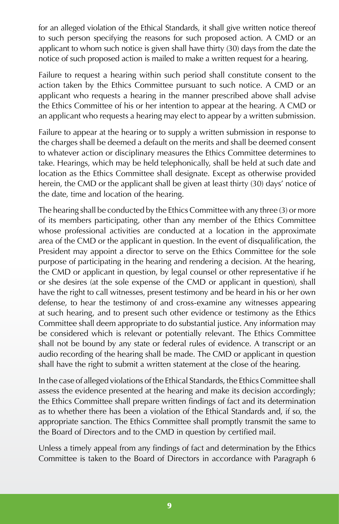for an alleged violation of the Ethical Standards, it shall give written notice thereof to such person specifying the reasons for such proposed action. A CMD or an applicant to whom such notice is given shall have thirty (30) days from the date the notice of such proposed action is mailed to make a written request for a hearing.

Failure to request a hearing within such period shall constitute consent to the action taken by the Ethics Committee pursuant to such notice. A CMD or an applicant who requests a hearing in the manner prescribed above shall advise the Ethics Committee of his or her intention to appear at the hearing. A CMD or an applicant who requests a hearing may elect to appear by a written submission.

Failure to appear at the hearing or to supply a written submission in response to the charges shall be deemed a default on the merits and shall be deemed consent to whatever action or disciplinary measures the Ethics Committee determines to take. Hearings, which may be held telephonically, shall be held at such date and location as the Ethics Committee shall designate. Except as otherwise provided herein, the CMD or the applicant shall be given at least thirty (30) days' notice of the date, time and location of the hearing.

The hearing shall be conducted by the Ethics Committee with any three (3) or more of its members participating, other than any member of the Ethics Committee whose professional activities are conducted at a location in the approximate area of the CMD or the applicant in question. In the event of disqualification, the President may appoint a director to serve on the Ethics Committee for the sole purpose of participating in the hearing and rendering a decision. At the hearing, the CMD or applicant in question, by legal counsel or other representative if he or she desires (at the sole expense of the CMD or applicant in question), shall have the right to call witnesses, present testimony and be heard in his or her own defense, to hear the testimony of and cross-examine any witnesses appearing at such hearing, and to present such other evidence or testimony as the Ethics Committee shall deem appropriate to do substantial justice. Any information may be considered which is relevant or potentially relevant. The Ethics Committee shall not be bound by any state or federal rules of evidence. A transcript or an audio recording of the hearing shall be made. The CMD or applicant in question shall have the right to submit a written statement at the close of the hearing.

In the case of alleged violations of the Ethical Standards, the Ethics Committee shall assess the evidence presented at the hearing and make its decision accordingly; the Ethics Committee shall prepare written findings of fact and its determination as to whether there has been a violation of the Ethical Standards and, if so, the appropriate sanction. The Ethics Committee shall promptly transmit the same to the Board of Directors and to the CMD in question by certified mail.

Unless a timely appeal from any findings of fact and determination by the Ethics Committee is taken to the Board of Directors in accordance with Paragraph 6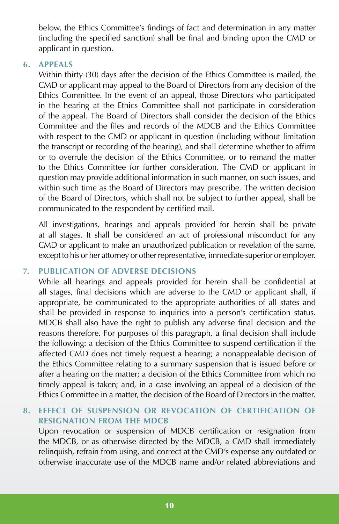below, the Ethics Committee's findings of fact and determination in any matter (including the specified sanction) shall be final and binding upon the CMD or applicant in question.

#### **6. APPEALS**

Within thirty (30) days after the decision of the Ethics Committee is mailed, the CMD or applicant may appeal to the Board of Directors from any decision of the Ethics Committee. In the event of an appeal, those Directors who participated in the hearing at the Ethics Committee shall not participate in consideration of the appeal. The Board of Directors shall consider the decision of the Ethics Committee and the files and records of the MDCB and the Ethics Committee with respect to the CMD or applicant in question (including without limitation the transcript or recording of the hearing), and shall determine whether to affirm or to overrule the decision of the Ethics Committee, or to remand the matter to the Ethics Committee for further consideration. The CMD or applicant in question may provide additional information in such manner, on such issues, and within such time as the Board of Directors may prescribe. The written decision of the Board of Directors, which shall not be subject to further appeal, shall be communicated to the respondent by certified mail.

All investigations, hearings and appeals provided for herein shall be private at all stages. It shall be considered an act of professional misconduct for any CMD or applicant to make an unauthorized publication or revelation of the same, except to his or her attorney or other representative, immediate superior or employer.

#### **7. PUBLICATION OF ADVERSE DECISIONS**

While all hearings and appeals provided for herein shall be confidential at all stages, final decisions which are adverse to the CMD or applicant shall, if appropriate, be communicated to the appropriate authorities of all states and shall be provided in response to inquiries into a person's certification status. MDCB shall also have the right to publish any adverse final decision and the reasons therefore. For purposes of this paragraph, a final decision shall include the following: a decision of the Ethics Committee to suspend certification if the affected CMD does not timely request a hearing; a nonappealable decision of the Ethics Committee relating to a summary suspension that is issued before or after a hearing on the matter; a decision of the Ethics Committee from which no timely appeal is taken; and, in a case involving an appeal of a decision of the Ethics Committee in a matter, the decision of the Board of Directors in the matter.

## **8. EFFECT OF SUSPENSION OR REVOCATION OF CERTIFICATION OF RESIGNATION FROM THE MDCB**

Upon revocation or suspension of MDCB certification or resignation from the MDCB, or as otherwise directed by the MDCB, a CMD shall immediately relinquish, refrain from using, and correct at the CMD's expense any outdated or otherwise inaccurate use of the MDCB name and/or related abbreviations and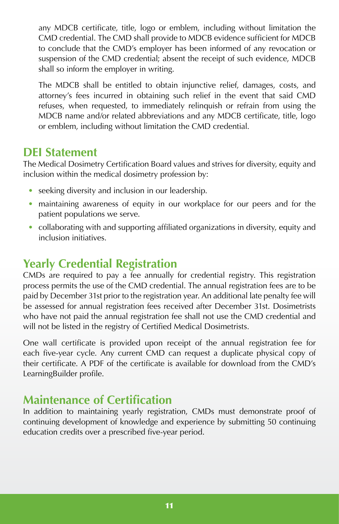any MDCB certificate, title, logo or emblem, including without limitation the CMD credential. The CMD shall provide to MDCB evidence sufficient for MDCB to conclude that the CMD's employer has been informed of any revocation or suspension of the CMD credential; absent the receipt of such evidence, MDCB shall so inform the employer in writing.

The MDCB shall be entitled to obtain injunctive relief, damages, costs, and attorney's fees incurred in obtaining such relief in the event that said CMD refuses, when requested, to immediately relinquish or refrain from using the MDCB name and/or related abbreviations and any MDCB certificate, title, logo or emblem, including without limitation the CMD credential.

# **DEI Statement**

The Medical Dosimetry Certification Board values and strives for diversity, equity and inclusion within the medical dosimetry profession by:

- seeking diversity and inclusion in our leadership.
- maintaining awareness of equity in our workplace for our peers and for the patient populations we serve.
- collaborating with and supporting affiliated organizations in diversity, equity and inclusion initiatives.

# <span id="page-14-0"></span>**Yearly Credential Registration**

CMDs are required to pay a fee annually for credential registry. This registration process permits the use of the CMD credential. The annual registration fees are to be paid by December 31st prior to the registration year. An additional late penalty fee will be assessed for annual registration fees received after December 31st. Dosimetrists who have not paid the annual registration fee shall not use the CMD credential and will not be listed in the registry of Certified Medical Dosimetrists.

One wall certificate is provided upon receipt of the annual registration fee for each five-year cycle. Any current CMD can request a duplicate physical copy of their certificate. A PDF of the certificate is available for download from the CMD's LearningBuilder profile.

# <span id="page-14-1"></span>**Maintenance of Certification**

<span id="page-14-2"></span>In addition to maintaining yearly registration, CMDs must demonstrate proof of continuing development of knowledge and experience by submitting 50 continuing education credits over a prescribed five-year period.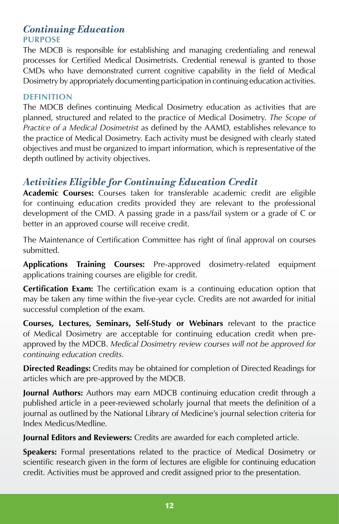# *Continuing Education* **PURPOSE**

The MDCB is responsible for establishing and managing credentialing and renewal processes for Certified Medical Dosimetrists. Credential renewal is granted to those CMDs who have demonstrated current cognitive capability in the field of Medical Dosimetry by appropriately documenting participation in continuing education activities.

#### **DEFINITION**

The MDCB defines continuing Medical Dosimetry education as activities that are planned, structured and related to the practice of Medical Dosimetry. *The Scope of Practice of a Medical Dosimetrist* as defined by the AAMD, establishes relevance to the practice of Medical Dosimetry. Each activity must be designed with clearly stated objectives and must be organized to impart information, which is representative of the depth outlined by activity objectives.

# *Activities Eligible for Continuing Education Credit*

**Academic Courses:** Courses taken for transferable academic credit are eligible for continuing education credits provided they are relevant to the professional development of the CMD. A passing grade in a pass/fail system or a grade of C or better in an approved course will receive credit.

The Maintenance of Certification Committee has right of final approval on courses submitted.

**Applications Training Courses:** Pre-approved dosimetry-related equipment applications training courses are eligible for credit.

**Certification Exam:** The certification exam is a continuing education option that may be taken any time within the five-year cycle. Credits are not awarded for initial successful completion of the exam.

**Courses, Lectures, Seminars, Self-Study or Webinars** relevant to the practice of Medical Dosimetry are acceptable for continuing education credit when preapproved by the MDCB. *Medical Dosimetry review courses will not be approved for continuing education credits.*

**Directed Readings:** Credits may be obtained for completion of Directed Readings for articles which are pre-approved by the MDCB.

**Journal Authors:** Authors may earn MDCB continuing education credit through a published article in a peer-reviewed scholarly journal that meets the definition of a journal as outlined by the National Library of Medicine's journal selection criteria for Index Medicus/Medline.

**Journal Editors and Reviewers:** Credits are awarded for each completed article.

**Speakers:** Formal presentations related to the practice of Medical Dosimetry or scientific research given in the form of lectures are eligible for continuing education credit. Activities must be approved and credit assigned prior to the presentation.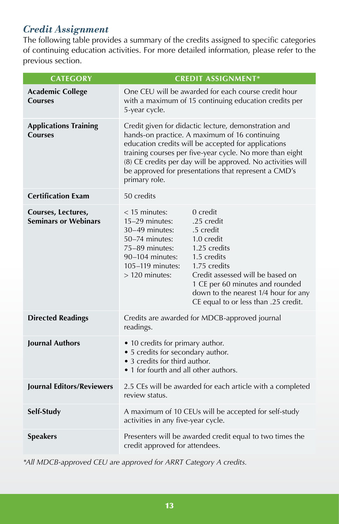# <span id="page-16-0"></span>*Credit Assignment*

The following table provides a summary of the credits assigned to specific categories of continuing education activities. For more detailed information, please refer to the previous section.

| <b>CATEGORY</b>                                   | <b>CREDIT ASSIGNMENT*</b>                                                                                                                                                                                                                                                                                                                                                                                        |  |  |
|---------------------------------------------------|------------------------------------------------------------------------------------------------------------------------------------------------------------------------------------------------------------------------------------------------------------------------------------------------------------------------------------------------------------------------------------------------------------------|--|--|
| <b>Academic College</b><br><b>Courses</b>         | One CEU will be awarded for each course credit hour<br>with a maximum of 15 continuing education credits per<br>5-year cycle.                                                                                                                                                                                                                                                                                    |  |  |
| <b>Applications Training</b><br><b>Courses</b>    | Credit given for didactic lecture, demonstration and<br>hands-on practice. A maximum of 16 continuing<br>education credits will be accepted for applications<br>training courses per five-year cycle. No more than eight<br>(8) CE credits per day will be approved. No activities will<br>be approved for presentations that represent a CMD's<br>primary role.                                                 |  |  |
| <b>Certification Exam</b>                         | 50 credits                                                                                                                                                                                                                                                                                                                                                                                                       |  |  |
| Courses, Lectures,<br><b>Seminars or Webinars</b> | $<$ 15 minutes:<br>0 credit<br>15-29 minutes:<br>.25 credit<br>30-49 minutes:<br>.5 credit<br>$50-74$ minutes:<br>1.0 credit<br>1.25 credits<br>75-89 minutes:<br>1.5 credits<br>$90-104$ minutes:<br>1.75 credits<br>105-119 minutes:<br>Credit assessed will be based on<br>$>120$ minutes:<br>1 CE per 60 minutes and rounded<br>down to the nearest 1/4 hour for any<br>CE equal to or less than .25 credit. |  |  |
| <b>Directed Readings</b>                          | Credits are awarded for MDCB-approved journal<br>readings.                                                                                                                                                                                                                                                                                                                                                       |  |  |
| <b>Journal Authors</b>                            | • 10 credits for primary author.<br>• 5 credits for secondary author.<br>• 3 credits for third author.<br>• 1 for fourth and all other authors.                                                                                                                                                                                                                                                                  |  |  |
| <b>Journal Editors/Reviewers</b>                  | 2.5 CEs will be awarded for each article with a completed<br>review status.                                                                                                                                                                                                                                                                                                                                      |  |  |
| Self-Study                                        | A maximum of 10 CEUs will be accepted for self-study<br>activities in any five-year cycle.                                                                                                                                                                                                                                                                                                                       |  |  |
| <b>Speakers</b>                                   | Presenters will be awarded credit equal to two times the<br>credit approved for attendees.                                                                                                                                                                                                                                                                                                                       |  |  |

*\*All MDCB-approved CEU are approved for ARRT Category A credits.*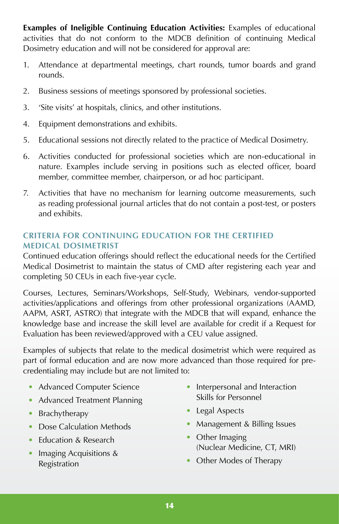**Examples of Ineligible Continuing Education Activities:** Examples of educational activities that do not conform to the MDCB definition of continuing Medical Dosimetry education and will not be considered for approval are:

- 1. Attendance at departmental meetings, chart rounds, tumor boards and grand rounds.
- 2. Business sessions of meetings sponsored by professional societies.
- 3. 'Site visits' at hospitals, clinics, and other institutions.
- 4. Equipment demonstrations and exhibits.
- 5. Educational sessions not directly related to the practice of Medical Dosimetry.
- 6. Activities conducted for professional societies which are non-educational in nature. Examples include serving in positions such as elected officer, board member, committee member, chairperson, or ad hoc participant.
- 7. Activities that have no mechanism for learning outcome measurements, such as reading professional journal articles that do not contain a post-test, or posters and exhibits.

## **CRITERIA FOR CONTINUING EDUCATION FOR THE CERTIFIED MEDICAL DOSIMETRIST**

Continued education offerings should reflect the educational needs for the Certified Medical Dosimetrist to maintain the status of CMD after registering each year and completing 50 CEUs in each five-year cycle.

Courses, Lectures, Seminars/Workshops, Self-Study, Webinars, vendor-supported activities/applications and offerings from other professional organizations (AAMD, AAPM, ASRT, ASTRO) that integrate with the MDCB that will expand, enhance the knowledge base and increase the skill level are available for credit if a Request for Evaluation has been reviewed/approved with a CEU value assigned.

Examples of subjects that relate to the medical dosimetrist which were required as part of formal education and are now more advanced than those required for precredentialing may include but are not limited to:

- Advanced Computer Science
- Advanced Treatment Planning
- Brachytherapy
- Dose Calculation Methods
- Education & Research
- Imaging Acquisitions & Registration
- Interpersonal and Interaction Skills for Personnel
- Legal Aspects
- Management & Billing Issues
- Other Imaging (Nuclear Medicine, CT, MRI)
- Other Modes of Therapy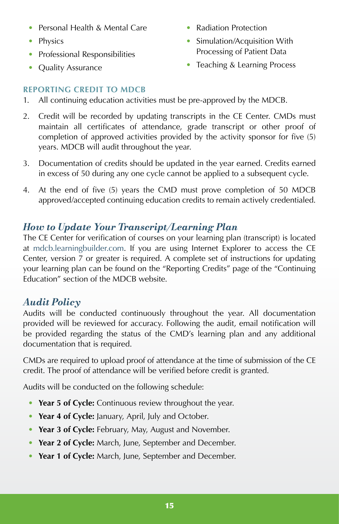- Personal Health & Mental Care
- Physics
- Professional Responsibilities
- Quality Assurance
- Radiation Protection
- Simulation/Acquisition With Processing of Patient Data
- Teaching & Learning Process

# **REPORTING CREDIT TO MDCB**

- 1. All continuing education activities must be pre-approved by the MDCB.
- 2. Credit will be recorded by updating transcripts in the CE Center. CMDs must maintain all certificates of attendance, grade transcript or other proof of completion of approved activities provided by the activity sponsor for five (5) years. MDCB will audit throughout the year.
- 3. Documentation of credits should be updated in the year earned. Credits earned in excess of 50 during any one cycle cannot be applied to a subsequent cycle.
- 4. At the end of five (5) years the CMD must prove completion of 50 MDCB approved/accepted continuing education credits to remain actively credentialed.

# <span id="page-18-0"></span>*How to Update Your Transcript/Learning Plan*

The CE Center for verification of courses on your learning plan (transcript) is located at [mdcb.learningbuilder.com.](https://mdcb.learningbuilder.com) If you are using Internet Explorer to access the CE Center, version 7 or greater is required. A complete set of instructions for updating your learning plan can be found on the "Reporting Credits" page of the "Continuing Education" section of the MDCB website.

# <span id="page-18-1"></span>*Audit Policy*

Audits will be conducted continuously throughout the year. All documentation provided will be reviewed for accuracy. Following the audit, email notification will be provided regarding the status of the CMD's learning plan and any additional documentation that is required.

CMDs are required to upload proof of attendance at the time of submission of the CE credit. The proof of attendance will be verified before credit is granted.

Audits will be conducted on the following schedule:

- **Year 5 of Cycle:** Continuous review throughout the year.
- **Year 4 of Cycle:** January, April, July and October.
- **Year 3 of Cycle:** February, May, August and November.
- **Year 2 of Cycle:** March, June, September and December.
- **Year 1 of Cycle:** March, June, September and December.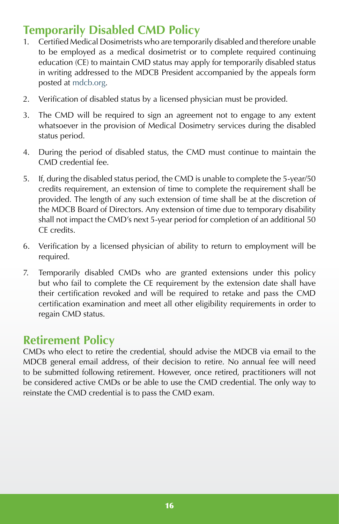# <span id="page-19-0"></span>**Temporarily Disabled CMD Policy**

- 1. Certified Medical Dosimetrists who are temporarily disabled and therefore unable to be employed as a medical dosimetrist or to complete required continuing education (CE) to maintain CMD status may apply for temporarily disabled status in writing addressed to the MDCB President accompanied by the appeals form posted at [mdcb.org](https://mdcb.org).
- 2. Verification of disabled status by a licensed physician must be provided.
- 3. The CMD will be required to sign an agreement not to engage to any extent whatsoever in the provision of Medical Dosimetry services during the disabled status period.
- 4. During the period of disabled status, the CMD must continue to maintain the CMD credential fee.
- 5. If, during the disabled status period, the CMD is unable to complete the 5-year/50 credits requirement, an extension of time to complete the requirement shall be provided. The length of any such extension of time shall be at the discretion of the MDCB Board of Directors. Any extension of time due to temporary disability shall not impact the CMD's next 5-year period for completion of an additional 50 CE credits.
- 6. Verification by a licensed physician of ability to return to employment will be required.
- 7. Temporarily disabled CMDs who are granted extensions under this policy but who fail to complete the CE requirement by the extension date shall have their certification revoked and will be required to retake and pass the CMD certification examination and meet all other eligibility requirements in order to regain CMD status.

# **Retirement Policy**

CMDs who elect to retire the credential, should advise the MDCB via email to the MDCB general email address, of their decision to retire. No annual fee will need to be submitted following retirement. However, once retired, practitioners will not be considered active CMDs or be able to use the CMD credential. The only way to reinstate the CMD credential is to pass the CMD exam.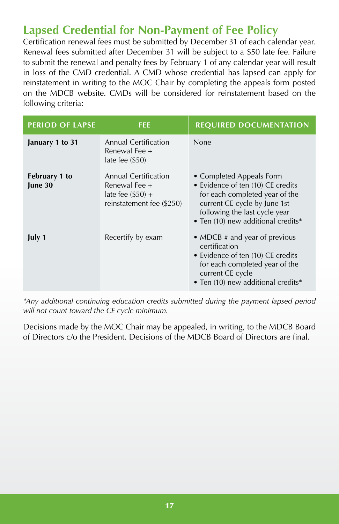# <span id="page-20-0"></span>**Lapsed Credential for Non-Payment of Fee Policy**

Certification renewal fees must be submitted by December 31 of each calendar year. Renewal fees submitted after December 31 will be subject to a \$50 late fee. Failure to submit the renewal and penalty fees by February 1 of any calendar year will result in loss of the CMD credential. A CMD whose credential has lapsed can apply for reinstatement in writing to the MOC Chair by completing the appeals form posted on the MDCB website. CMDs will be considered for reinstatement based on the following criteria:

| <b>PERIOD OF LAPSE</b>   | <b>FEE</b>                                                                                      | <b>REQUIRED DOCUMENTATION</b>                                                                                                                                                                          |
|--------------------------|-------------------------------------------------------------------------------------------------|--------------------------------------------------------------------------------------------------------------------------------------------------------------------------------------------------------|
| January 1 to 31          | <b>Annual Certification</b><br>Renewal Fee +<br>late fee $(\$50)$                               | None                                                                                                                                                                                                   |
| February 1 to<br>June 30 | <b>Annual Certification</b><br>Renewal Fee +<br>late fee $(\$50$ +<br>reinstatement fee (\$250) | • Completed Appeals Form<br>• Evidence of ten (10) CE credits<br>for each completed year of the<br>current CE cycle by June 1st<br>following the last cycle year<br>• Ten (10) new additional credits* |
| July 1                   | Recertify by exam                                                                               | • MDCB # and year of previous<br>certification<br>• Evidence of ten (10) CE credits<br>for each completed year of the<br>current CE cycle<br>• Ten (10) new additional credits*                        |

*\*Any additional continuing education credits submitted during the payment lapsed period will not count toward the CE cycle minimum.* 

Decisions made by the MOC Chair may be appealed, in writing, to the MDCB Board of Directors c/o the President. Decisions of the MDCB Board of Directors are final.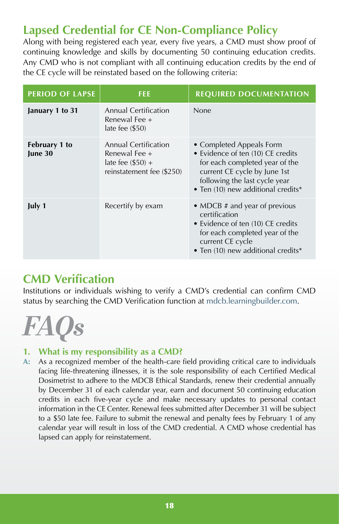# <span id="page-21-0"></span>**Lapsed Credential for CE Non-Compliance Policy**

Along with being registered each year, every five years, a CMD must show proof of continuing knowledge and skills by documenting 50 continuing education credits. Any CMD who is not compliant with all continuing education credits by the end of the CE cycle will be reinstated based on the following criteria:

| <b>PERIOD OF LAPSE</b>   | <b>FEE</b>                                                                                      | <b>REQUIRED DOCUMENTATION</b>                                                                                                                                                                          |
|--------------------------|-------------------------------------------------------------------------------------------------|--------------------------------------------------------------------------------------------------------------------------------------------------------------------------------------------------------|
| January 1 to 31          | <b>Annual Certification</b><br>Renewal Fee +<br>late fee $(\$50)$                               | None                                                                                                                                                                                                   |
| February 1 to<br>June 30 | <b>Annual Certification</b><br>Renewal Fee +<br>late fee $(\$50$ +<br>reinstatement fee (\$250) | • Completed Appeals Form<br>• Evidence of ten (10) CE credits<br>for each completed year of the<br>current CE cycle by June 1st<br>following the last cycle year<br>• Ten (10) new additional credits* |
| July 1                   | Recertify by exam                                                                               | • MDCB # and year of previous<br>certification<br>• Evidence of ten (10) CE credits<br>for each completed year of the<br>current CE cycle<br>· Ten (10) new additional credits*                        |

# <span id="page-21-1"></span>**CMD Verification**

Institutions or individuals wishing to verify a CMD's credential can confirm CMD status by searching the CMD Verification function at [mdcb.learningbuilder.com](https://mdcb.learningbuilder.com).

<span id="page-21-2"></span>

# **1. What is my responsibility as a CMD?**

**A:** As a recognized member of the health-care field providing critical care to individuals facing life-threatening illnesses, it is the sole responsibility of each Certified Medical Dosimetrist to adhere to the MDCB Ethical Standards, renew their credential annually by December 31 of each calendar year, earn and document 50 continuing education credits in each five-year cycle and make necessary updates to personal contact information in the CE Center. Renewal fees submitted after December 31 will be subject to a \$50 late fee. Failure to submit the renewal and penalty fees by February 1 of any calendar year will result in loss of the CMD credential. A CMD whose credential has lapsed can apply for reinstatement.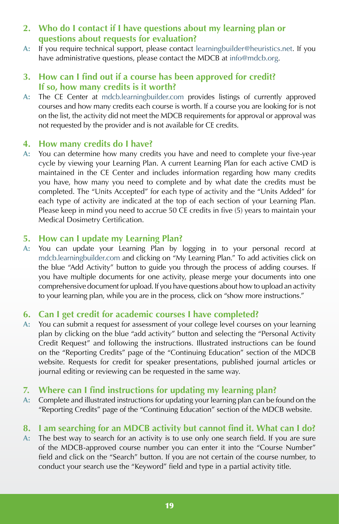- **2. Who do I contact if I have questions about my learning plan or questions about requests for evaluation?**
- **A:** If you require technical support, please contact [learningbuilder@heuristics.net.](mailto:learningbuilder%40heuristics.net?subject=) If you have administrative questions, please contact the MDCB at [info@mdcb.org](mailto:info%40mdcb.org?subject=).

## **3. How can I find out if a course has been approved for credit? If so, how many credits is it worth?**

**A:** The CE Center at [mdcb.learningbuilder.com](https://mdcb.learningbuilder.com) provides listings of currently approved courses and how many credits each course is worth. If a course you are looking for is not on the list, the activity did not meet the MDCB requirements for approval or approval was not requested by the provider and is not available for CE credits.

#### **4. How many credits do I have?**

**A:** You can determine how many credits you have and need to complete your five-year cycle by viewing your Learning Plan. A current Learning Plan for each active CMD is maintained in the CE Center and includes information regarding how many credits you have, how many you need to complete and by what date the credits must be completed. The "Units Accepted" for each type of activity and the "Units Added" for each type of activity are indicated at the top of each section of your Learning Plan. Please keep in mind you need to accrue 50 CE credits in five (5) years to maintain your Medical Dosimetry Certification.

#### **5. How can I update my Learning Plan?**

**A:** You can update your Learning Plan by logging in to your personal record at [mdcb.learningbuilder.com](https://mdcb.learningbuilder.com) and clicking on "My Learning Plan." To add activities click on the blue "Add Activity" button to guide you through the process of adding courses. If you have multiple documents for one activity, please merge your documents into one comprehensive document for upload. If you have questions about how to upload an activity to your learning plan, while you are in the process, click on "show more instructions."

#### **6. Can I get credit for academic courses I have completed?**

**A:** You can submit a request for assessment of your college level courses on your learning plan by clicking on the blue "add activity" button and selecting the "Personal Activity Credit Request" and following the instructions. Illustrated instructions can be found on the "Reporting Credits" page of the "Continuing Education" section of the MDCB website. Requests for credit for speaker presentations, published journal articles or journal editing or reviewing can be requested in the same way.

#### **7. Where can I find instructions for updating my learning plan?**

**A:** Complete and illustrated instructions for updating your learning plan can be found on the "Reporting Credits" page of the "Continuing Education" section of the MDCB website.

## **8. I am searching for an MDCB activity but cannot find it. What can I do?**

**A:** The best way to search for an activity is to use only one search field. If you are sure of the MDCB-approved course number you can enter it into the "Course Number" field and click on the "Search" button. If you are not certain of the course number, to conduct your search use the "Keyword" field and type in a partial activity title.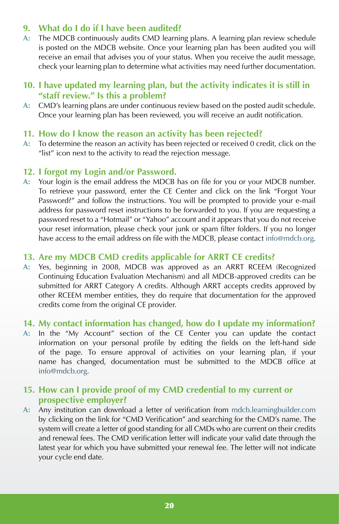# **9. What do I do if I have been audited?**

**A:** The MDCB continuously audits CMD learning plans. A learning plan review schedule is posted on the MDCB website. Once your learning plan has been audited you will receive an email that advises you of your status. When you receive the audit message, check your learning plan to determine what activities may need further documentation.

#### **10. I have updated my learning plan, but the activity indicates it is still in "staff review." Is this a problem?**

**A:** CMD's learning plans are under continuous review based on the posted audit schedule. Once your learning plan has been reviewed, you will receive an audit notification.

## **11. How do I know the reason an activity has been rejected?**

**A:** To determine the reason an activity has been rejected or received 0 credit, click on the "list" icon next to the activity to read the rejection message.

## **12. I forgot my Login and/or Password.**

**A:** Your login is the email address the MDCB has on file for you or your MDCB number. To retrieve your password, enter the CE Center and click on the link "Forgot Your Password?" and follow the instructions. You will be prompted to provide your e-mail address for password reset instructions to be forwarded to you. If you are requesting a password reset to a "Hotmail" or "Yahoo" account and it appears that you do not receive your reset information, please check your junk or spam filter folders. If you no longer have access to the email address on file with the MDCB, please contact [info@mdcb.org.](mailto:info%40mdcb.org?subject=)

#### **13. Are my MDCB CMD credits applicable for ARRT CE credits?**

**A:** Yes, beginning in 2008, MDCB was approved as an ARRT RCEEM (Recognized Continuing Education Evaluation Mechanism) and all MDCB-approved credits can be submitted for ARRT Category A credits. Although ARRT accepts credits approved by other RCEEM member entities, they do require that documentation for the approved credits come from the original CE provider.

#### **14. My contact information has changed, how do I update my information?**

**A:** In the "My Account" section of the CE Center you can update the contact information on your personal profile by editing the fields on the left-hand side of the page. To ensure approval of activities on your learning plan, if your name has changed, documentation must be submitted to the MDCB office at [info@mdcb.org.](mailto:info%40mdcb.org?subject=)

# **15. How can I provide proof of my CMD credential to my current or prospective employer?**

**A:** Any institution can download a letter of verification from [mdcb.learningbuilder.com](https://mdcb.learningbuilder.com) by clicking on the link for "CMD Verification" and searching for the CMD's name. The system will create a letter of good standing for all CMDs who are current on their credits and renewal fees. The CMD verification letter will indicate your valid date through the latest year for which you have submitted your renewal fee. The letter will not indicate your cycle end date.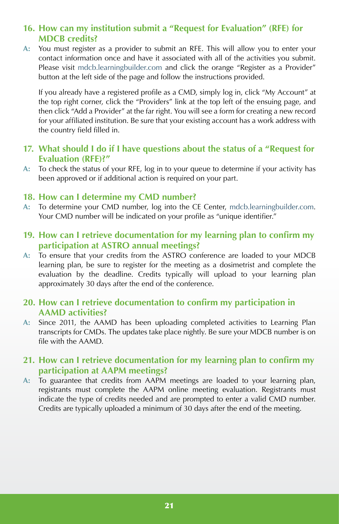# **16. How can my institution submit a "Request for Evaluation" (RFE) for MDCB credits?**

**A:** You must register as a provider to submit an RFE. This will allow you to enter your contact information once and have it associated with all of the activities you submit. Please visit [mdcb.learningbuilder.com](https://mdcb.learningbuilder.com) and click the orange "Register as a Provider" button at the left side of the page and follow the instructions provided.

If you already have a registered profile as a CMD, simply log in, click "My Account" at the top right corner, click the "Providers" link at the top left of the ensuing page, and then click "Add a Provider" at the far right. You will see a form for creating a new record for your affiliated institution. Be sure that your existing account has a work address with the country field filled in.

## **17. What should I do if I have questions about the status of a "Request for Evaluation (RFE)?"**

**A:** To check the status of your RFE, log in to your queue to determine if your activity has been approved or if additional action is required on your part.

#### **18. How can I determine my CMD number?**

- **A:** To determine your CMD number, log into the CE Center, [mdcb.learningbuilder.com.](https://mdcb.learningbuilder.com) Your CMD number will be indicated on your profile as "unique identifier."
- **19. How can I retrieve documentation for my learning plan to confirm my participation at ASTRO annual meetings?**
- **A:** To ensure that your credits from the ASTRO conference are loaded to your MDCB learning plan, be sure to register for the meeting as a dosimetrist and complete the evaluation by the deadline. Credits typically will upload to your learning plan approximately 30 days after the end of the conference.

#### **20. How can I retrieve documentation to confirm my participation in AAMD activities?**

**A:** Since 2011, the AAMD has been uploading completed activities to Learning Plan transcripts for CMDs. The updates take place nightly. Be sure your MDCB number is on file with the AAMD.

#### **21. How can I retrieve documentation for my learning plan to confirm my participation at AAPM meetings?**

**A:** To guarantee that credits from AAPM meetings are loaded to your learning plan, registrants must complete the AAPM online meeting evaluation. Registrants must indicate the type of credits needed and are prompted to enter a valid CMD number. Credits are typically uploaded a minimum of 30 days after the end of the meeting.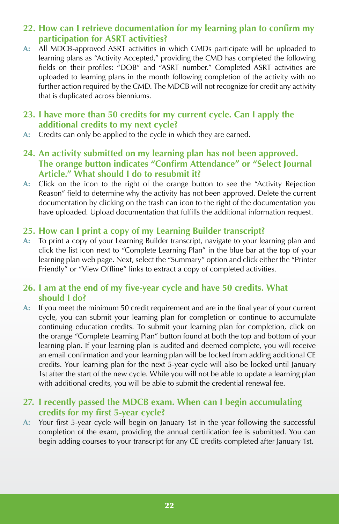# **22. How can I retrieve documentation for my learning plan to confirm my participation for ASRT activities?**

**A:** All MDCB-approved ASRT activities in which CMDs participate will be uploaded to learning plans as "Activity Accepted," providing the CMD has completed the following fields on their profiles: "DOB" and "ASRT number." Completed ASRT activities are uploaded to learning plans in the month following completion of the activity with no further action required by the CMD. The MDCB will not recognize for credit any activity that is duplicated across bienniums.

#### **23. I have more than 50 credits for my current cycle. Can I apply the additional credits to my next cycle?**

- A: Credits can only be applied to the cycle in which they are earned.
- **24. An activity submitted on my learning plan has not been approved. The orange button indicates "Confirm Attendance" or "Select Journal Article." What should I do to resubmit it?**
- **A:** Click on the icon to the right of the orange button to see the "Activity Rejection Reason" field to determine why the activity has not been approved. Delete the current documentation by clicking on the trash can icon to the right of the documentation you have uploaded. Upload documentation that fulfills the additional information request.

# **25. How can I print a copy of my Learning Builder transcript?**

**A:** To print a copy of your Learning Builder transcript, navigate to your learning plan and click the list icon next to "Complete Learning Plan" in the blue bar at the top of your learning plan web page. Next, select the "Summary" option and click either the "Printer Friendly" or "View Offline" links to extract a copy of completed activities.

# **26. I am at the end of my five-year cycle and have 50 credits. What should I do?**

**A:** If you meet the minimum 50 credit requirement and are in the final year of your current cycle, you can submit your learning plan for completion or continue to accumulate continuing education credits. To submit your learning plan for completion, click on the orange "Complete Learning Plan" button found at both the top and bottom of your learning plan. If your learning plan is audited and deemed complete, you will receive an email confirmation and your learning plan will be locked from adding additional CE credits. Your learning plan for the next 5-year cycle will also be locked until January 1st after the start of the new cycle. While you will not be able to update a learning plan with additional credits, you will be able to submit the credential renewal fee.

## **27. I recently passed the MDCB exam. When can I begin accumulating credits for my first 5-year cycle?**

**A:** Your first 5-year cycle will begin on January 1st in the year following the successful completion of the exam, providing the annual certification fee is submitted. You can begin adding courses to your transcript for any CE credits completed after January 1st.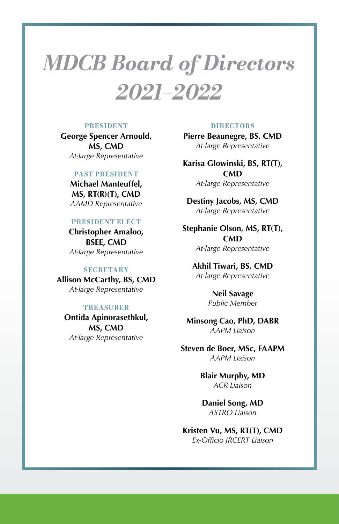# *MDCB Board of Directors 2021–2022*

#### **PRESIDENT**

**George Spencer Arnould, MS, CMD** *At-large Representative*

#### **PAST PRESIDENT**

**Michael Manteuffel, MS, RT(R)(T), CMD** *AAMD Representative*

#### **PRESIDENT ELECT**

**Christopher Amaloo, BSEE, CMD** *At-large Representative*

#### **SECRETARY**

**Allison McCarthy, BS, CMD** *At-large Representative*

#### **TREASURER**

**Ontida Apinorasethkul, MS, CMD** *At-large Representative*

#### **DIRECTORS**

**Pierre Beaunegre, BS, CMD** *At-large Representative*

**Karisa Glowinski, BS, RT(T), CMD** *At-large Representative*

**Destiny Jacobs, MS, CMD** *At-large Representative*

**Stephanie Olson, MS, RT(T), CMD** *At-large Representative*

**Akhil Tiwari, BS, CMD** *At-large Representative*

> **Neil Savage** *Public Member*

**Minsong Cao, PhD, DABR** *AAPM Liaison*

**Steven de Boer, MSc, FAAPM** *AAPM Liaison*

> **Blair Murphy, MD** *ACR Liaison*

**Daniel Song, MD** *ASTRO Liaison*

**Kristen Vu, MS, RT(T), CMD** *Ex-Officio JRCERT Liaison*